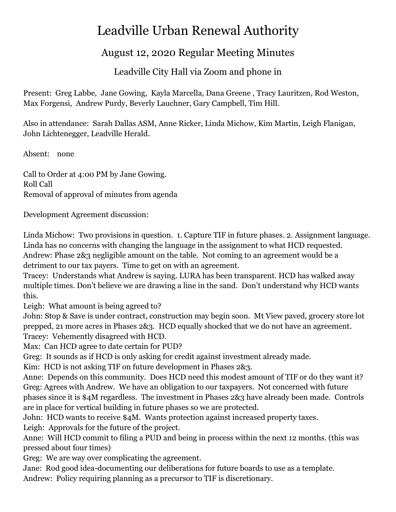## Leadville Urban Renewal Authority

## August 12, 2020 Regular Meeting Minutes

Leadville City Hall via Zoom and phone in

Present: Greg Labbe, Jane Gowing, Kayla Marcella, Dana Greene , Tracy Lauritzen, Rod Weston, Max Forgensi, Andrew Purdy, Beverly Lauchner, Gary Campbell, Tim Hill.

Also in attendance: Sarah Dallas ASM, Anne Ricker, Linda Michow, Kim Martin, Leigh Flanigan, John Lichtenegger, Leadville Herald.

Absent: none

Call to Order at 4:00 PM by Jane Gowing. Roll Call Removal of approval of minutes from agenda

Development Agreement discussion:

Linda Michow: Two provisions in question. 1. Capture TIF in future phases. 2. Assignment language. Linda has no concerns with changing the language in the assignment to what HCD requested. Andrew: Phase 2&3 negligible amount on the table. Not coming to an agreement would be a detriment to our tax payers. Time to get on with an agreement.

Tracey: Understands what Andrew is saying. LURA has been transparent. HCD has walked away multiple times. Don't believe we are drawing a line in the sand. Don't understand why HCD wants this.

Leigh: What amount is being agreed to?

John: Stop & Save is under contract, construction may begin soon. Mt View paved, grocery store lot prepped, 21 more acres in Phases 2&3. HCD equally shocked that we do not have an agreement. Tracey: Vehemently disagreed with HCD.

Max: Can HCD agree to date certain for PUD?

Greg: It sounds as if HCD is only asking for credit against investment already made.

Kim: HCD is not asking TIF on future development in Phases 2&3.

Anne: Depends on this community. Does HCD need this modest amount of TIF or do they want it? Greg: Agrees with Andrew. We have an obligation to our taxpayers. Not concerned with future phases since it is \$4M regardless. The investment in Phases 2&3 have already been made. Controls are in place for vertical building in future phases so we are protected.

John: HCD wants to receive \$4M. Wants protection against increased property taxes.

Leigh: Approvals for the future of the project.

Anne: Will HCD commit to filing a PUD and being in process within the next 12 months. (this was pressed about four times)

Greg: We are way over complicating the agreement.

Jane: Rod good idea-documenting our deliberations for future boards to use as a template. Andrew: Policy requiring planning as a precursor to TIF is discretionary.